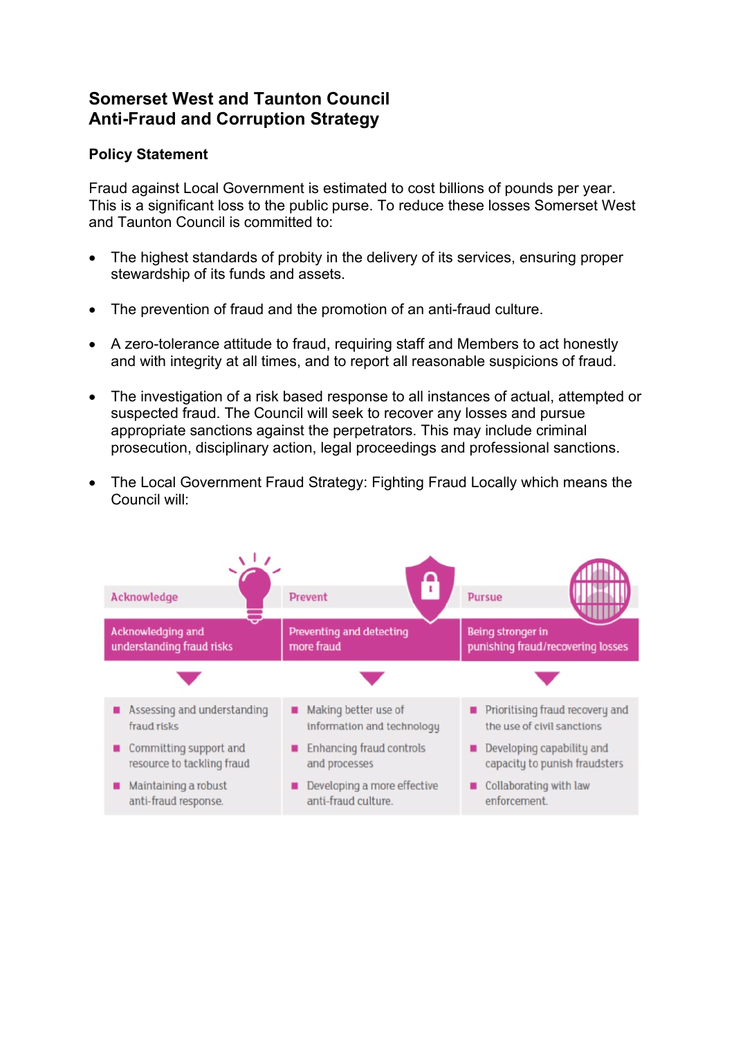# **Somerset West and Taunton Council Anti-Fraud and Corruption Strategy**

# **Policy Statement**

Fraud against Local Government is estimated to cost billions of pounds per year. This is a significant loss to the public purse. To reduce these losses Somerset West and Taunton Council is committed to:

- The highest standards of probity in the delivery of its services, ensuring proper stewardship of its funds and assets.
- The prevention of fraud and the promotion of an anti-fraud culture.
- A zero-tolerance attitude to fraud, requiring staff and Members to act honestly and with integrity at all times, and to report all reasonable suspicions of fraud.
- The investigation of a risk based response to all instances of actual, attempted or suspected fraud. The Council will seek to recover any losses and pursue appropriate sanctions against the perpetrators. This may include criminal prosecution, disciplinary action, legal proceedings and professional sanctions.
- The Local Government Fraud Strategy: Fighting Fraud Locally which means the Council will:

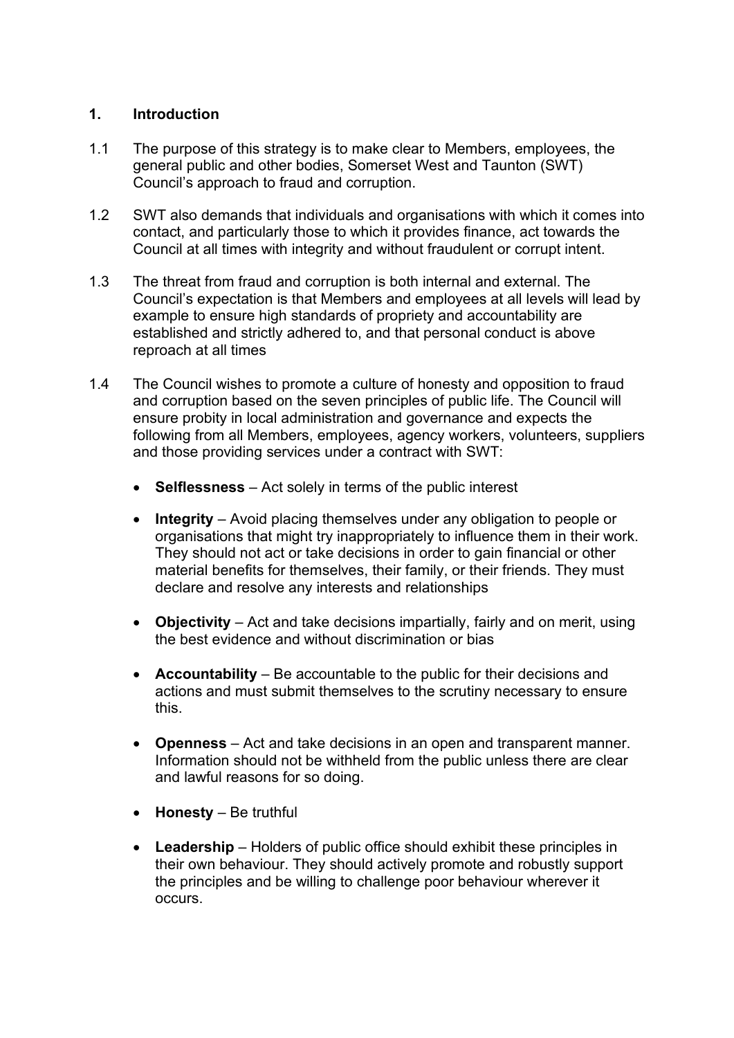## **1. Introduction**

- 1.1 The purpose of this strategy is to make clear to Members, employees, the general public and other bodies, Somerset West and Taunton (SWT) Council's approach to fraud and corruption.
- 1.2 SWT also demands that individuals and organisations with which it comes into contact, and particularly those to which it provides finance, act towards the Council at all times with integrity and without fraudulent or corrupt intent.
- 1.3 The threat from fraud and corruption is both internal and external. The Council's expectation is that Members and employees at all levels will lead by example to ensure high standards of propriety and accountability are established and strictly adhered to, and that personal conduct is above reproach at all times
- 1.4 The Council wishes to promote a culture of honesty and opposition to fraud and corruption based on the seven principles of public life. The Council will ensure probity in local administration and governance and expects the following from all Members, employees, agency workers, volunteers, suppliers and those providing services under a contract with SWT:
	- **Selflessness** Act solely in terms of the public interest
	- **Integrity** Avoid placing themselves under any obligation to people or organisations that might try inappropriately to influence them in their work. They should not act or take decisions in order to gain financial or other material benefits for themselves, their family, or their friends. They must declare and resolve any interests and relationships
	- **Objectivity** Act and take decisions impartially, fairly and on merit, using the best evidence and without discrimination or bias
	- **Accountability** Be accountable to the public for their decisions and actions and must submit themselves to the scrutiny necessary to ensure this.
	- **Openness** Act and take decisions in an open and transparent manner. Information should not be withheld from the public unless there are clear and lawful reasons for so doing.
	- **Honesty** Be truthful
	- **Leadership** Holders of public office should exhibit these principles in their own behaviour. They should actively promote and robustly support the principles and be willing to challenge poor behaviour wherever it occurs.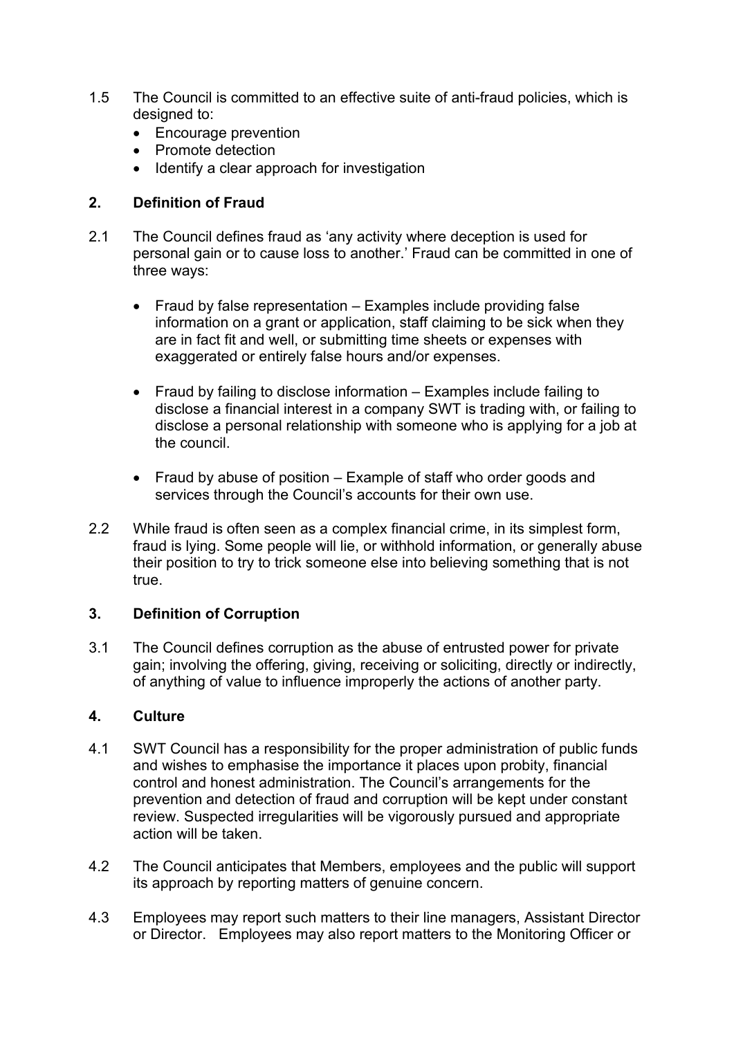- 1.5 The Council is committed to an effective suite of anti-fraud policies, which is designed to:
	- Encourage prevention
	- Promote detection
	- Identify a clear approach for investigation

## **2. Definition of Fraud**

- 2.1 The Council defines fraud as 'any activity where deception is used for personal gain or to cause loss to another.' Fraud can be committed in one of three ways:
	- Fraud by false representation Examples include providing false information on a grant or application, staff claiming to be sick when they are in fact fit and well, or submitting time sheets or expenses with exaggerated or entirely false hours and/or expenses.
	- Fraud by failing to disclose information Examples include failing to disclose a financial interest in a company SWT is trading with, or failing to disclose a personal relationship with someone who is applying for a job at the council.
	- Fraud by abuse of position Example of staff who order goods and services through the Council's accounts for their own use.
- 2.2 While fraud is often seen as a complex financial crime, in its simplest form, fraud is lying. Some people will lie, or withhold information, or generally abuse their position to try to trick someone else into believing something that is not true.

## **3. Definition of Corruption**

3.1 The Council defines corruption as the abuse of entrusted power for private gain; involving the offering, giving, receiving or soliciting, directly or indirectly, of anything of value to influence improperly the actions of another party.

## **4. Culture**

- 4.1 SWT Council has a responsibility for the proper administration of public funds and wishes to emphasise the importance it places upon probity, financial control and honest administration. The Council's arrangements for the prevention and detection of fraud and corruption will be kept under constant review. Suspected irregularities will be vigorously pursued and appropriate action will be taken.
- 4.2 The Council anticipates that Members, employees and the public will support its approach by reporting matters of genuine concern.
- 4.3 Employees may report such matters to their line managers, Assistant Director or Director. Employees may also report matters to the Monitoring Officer or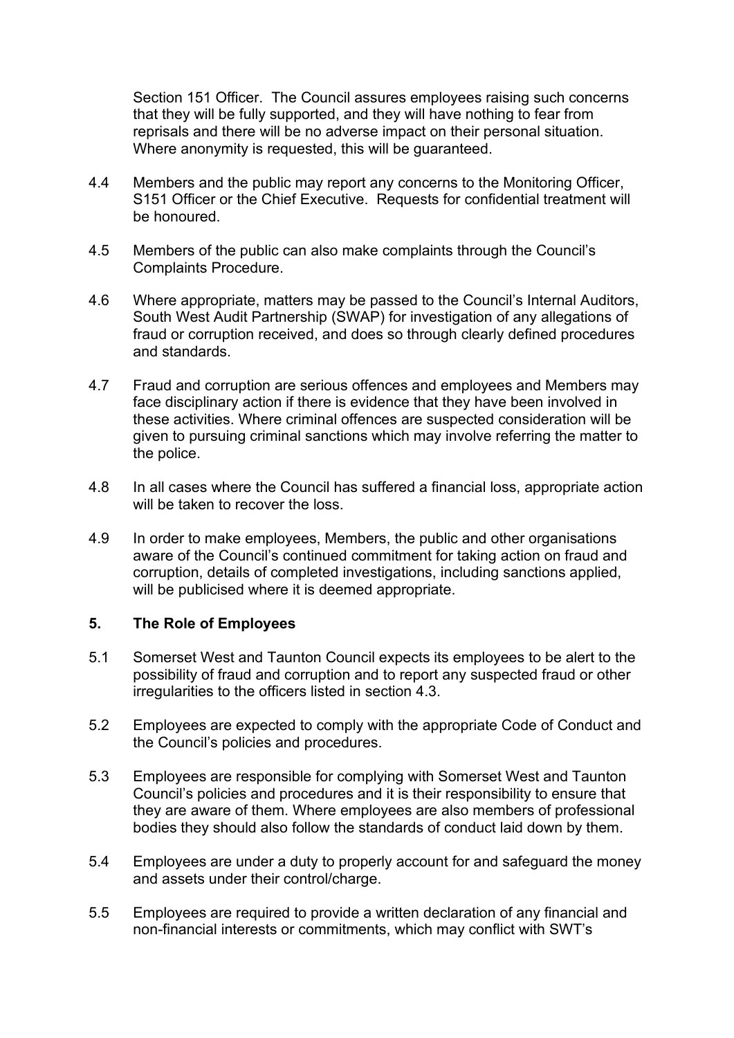Section 151 Officer. The Council assures employees raising such concerns that they will be fully supported, and they will have nothing to fear from reprisals and there will be no adverse impact on their personal situation. Where anonymity is requested, this will be guaranteed.

- 4.4 Members and the public may report any concerns to the Monitoring Officer, S151 Officer or the Chief Executive. Requests for confidential treatment will be honoured.
- 4.5 Members of the public can also make complaints through the Council's Complaints Procedure.
- 4.6 Where appropriate, matters may be passed to the Council's Internal Auditors, South West Audit Partnership (SWAP) for investigation of any allegations of fraud or corruption received, and does so through clearly defined procedures and standards.
- 4.7 Fraud and corruption are serious offences and employees and Members may face disciplinary action if there is evidence that they have been involved in these activities. Where criminal offences are suspected consideration will be given to pursuing criminal sanctions which may involve referring the matter to the police.
- 4.8 In all cases where the Council has suffered a financial loss, appropriate action will be taken to recover the loss.
- 4.9 In order to make employees, Members, the public and other organisations aware of the Council's continued commitment for taking action on fraud and corruption, details of completed investigations, including sanctions applied, will be publicised where it is deemed appropriate.

## **5. The Role of Employees**

- 5.1 Somerset West and Taunton Council expects its employees to be alert to the possibility of fraud and corruption and to report any suspected fraud or other irregularities to the officers listed in section 4.3.
- 5.2 Employees are expected to comply with the appropriate Code of Conduct and the Council's policies and procedures.
- 5.3 Employees are responsible for complying with Somerset West and Taunton Council's policies and procedures and it is their responsibility to ensure that they are aware of them. Where employees are also members of professional bodies they should also follow the standards of conduct laid down by them.
- 5.4 Employees are under a duty to properly account for and safeguard the money and assets under their control/charge.
- 5.5 Employees are required to provide a written declaration of any financial and non-financial interests or commitments, which may conflict with SWT's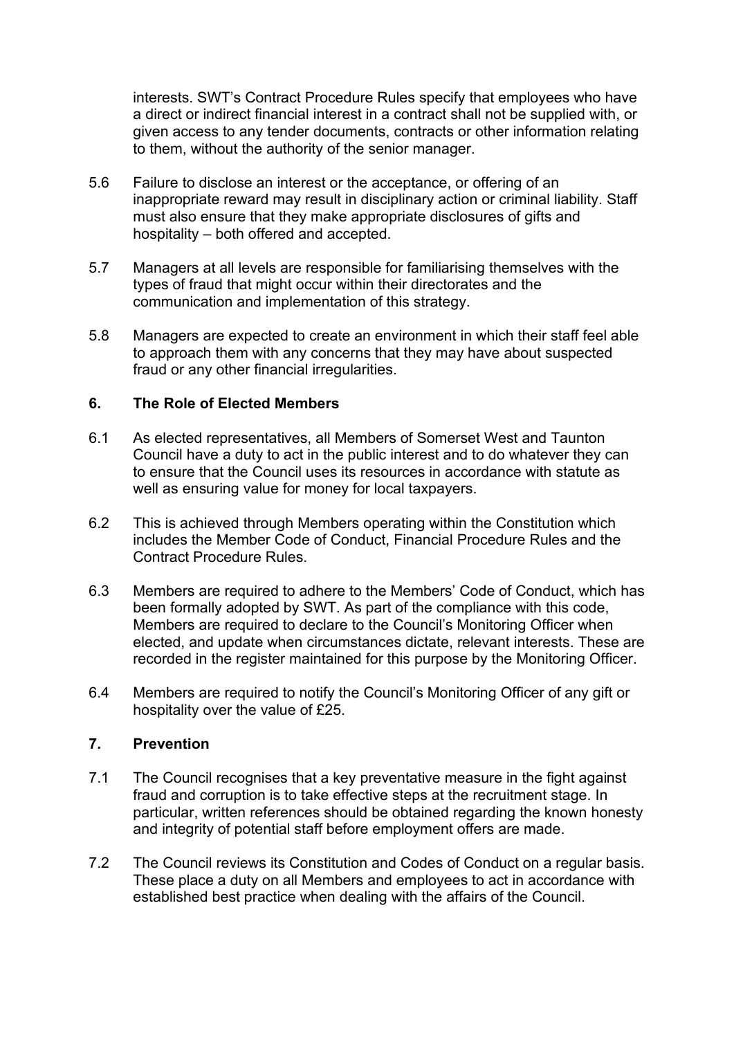interests. SWT's Contract Procedure Rules specify that employees who have a direct or indirect financial interest in a contract shall not be supplied with, or given access to any tender documents, contracts or other information relating to them, without the authority of the senior manager.

- 5.6 Failure to disclose an interest or the acceptance, or offering of an inappropriate reward may result in disciplinary action or criminal liability. Staff must also ensure that they make appropriate disclosures of gifts and hospitality – both offered and accepted.
- 5.7 Managers at all levels are responsible for familiarising themselves with the types of fraud that might occur within their directorates and the communication and implementation of this strategy.
- 5.8 Managers are expected to create an environment in which their staff feel able to approach them with any concerns that they may have about suspected fraud or any other financial irregularities.

#### **6. The Role of Elected Members**

- 6.1 As elected representatives, all Members of Somerset West and Taunton Council have a duty to act in the public interest and to do whatever they can to ensure that the Council uses its resources in accordance with statute as well as ensuring value for money for local taxpayers.
- 6.2 This is achieved through Members operating within the Constitution which includes the Member Code of Conduct, Financial Procedure Rules and the Contract Procedure Rules.
- 6.3 Members are required to adhere to the Members' Code of Conduct, which has been formally adopted by SWT. As part of the compliance with this code, Members are required to declare to the Council's Monitoring Officer when elected, and update when circumstances dictate, relevant interests. These are recorded in the register maintained for this purpose by the Monitoring Officer.
- 6.4 Members are required to notify the Council's Monitoring Officer of any gift or hospitality over the value of £25.

## **7. Prevention**

- 7.1 The Council recognises that a key preventative measure in the fight against fraud and corruption is to take effective steps at the recruitment stage. In particular, written references should be obtained regarding the known honesty and integrity of potential staff before employment offers are made.
- 7.2 The Council reviews its Constitution and Codes of Conduct on a regular basis. These place a duty on all Members and employees to act in accordance with established best practice when dealing with the affairs of the Council.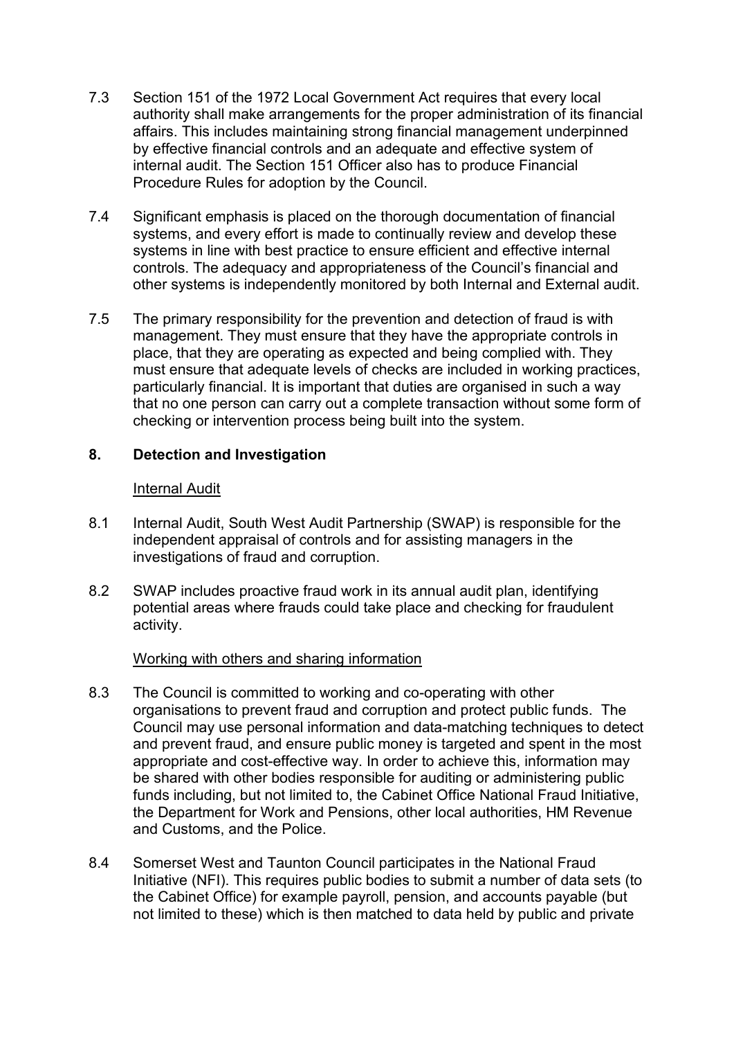- 7.3 Section 151 of the 1972 Local Government Act requires that every local authority shall make arrangements for the proper administration of its financial affairs. This includes maintaining strong financial management underpinned by effective financial controls and an adequate and effective system of internal audit. The Section 151 Officer also has to produce Financial Procedure Rules for adoption by the Council.
- 7.4 Significant emphasis is placed on the thorough documentation of financial systems, and every effort is made to continually review and develop these systems in line with best practice to ensure efficient and effective internal controls. The adequacy and appropriateness of the Council's financial and other systems is independently monitored by both Internal and External audit.
- 7.5 The primary responsibility for the prevention and detection of fraud is with management. They must ensure that they have the appropriate controls in place, that they are operating as expected and being complied with. They must ensure that adequate levels of checks are included in working practices, particularly financial. It is important that duties are organised in such a way that no one person can carry out a complete transaction without some form of checking or intervention process being built into the system.

## **8. Detection and Investigation**

#### Internal Audit

- 8.1 Internal Audit, South West Audit Partnership (SWAP) is responsible for the independent appraisal of controls and for assisting managers in the investigations of fraud and corruption.
- 8.2 SWAP includes proactive fraud work in its annual audit plan, identifying potential areas where frauds could take place and checking for fraudulent activity.

## Working with others and sharing information

- 8.3 The Council is committed to working and co-operating with other organisations to prevent fraud and corruption and protect public funds. The Council may use personal information and data-matching techniques to detect and prevent fraud, and ensure public money is targeted and spent in the most appropriate and cost-effective way. In order to achieve this, information may be shared with other bodies responsible for auditing or administering public funds including, but not limited to, the Cabinet Office National Fraud Initiative, the Department for Work and Pensions, other local authorities, HM Revenue and Customs, and the Police.
- 8.4 Somerset West and Taunton Council participates in the National Fraud Initiative (NFI). This requires public bodies to submit a number of data sets (to the Cabinet Office) for example payroll, pension, and accounts payable (but not limited to these) which is then matched to data held by public and private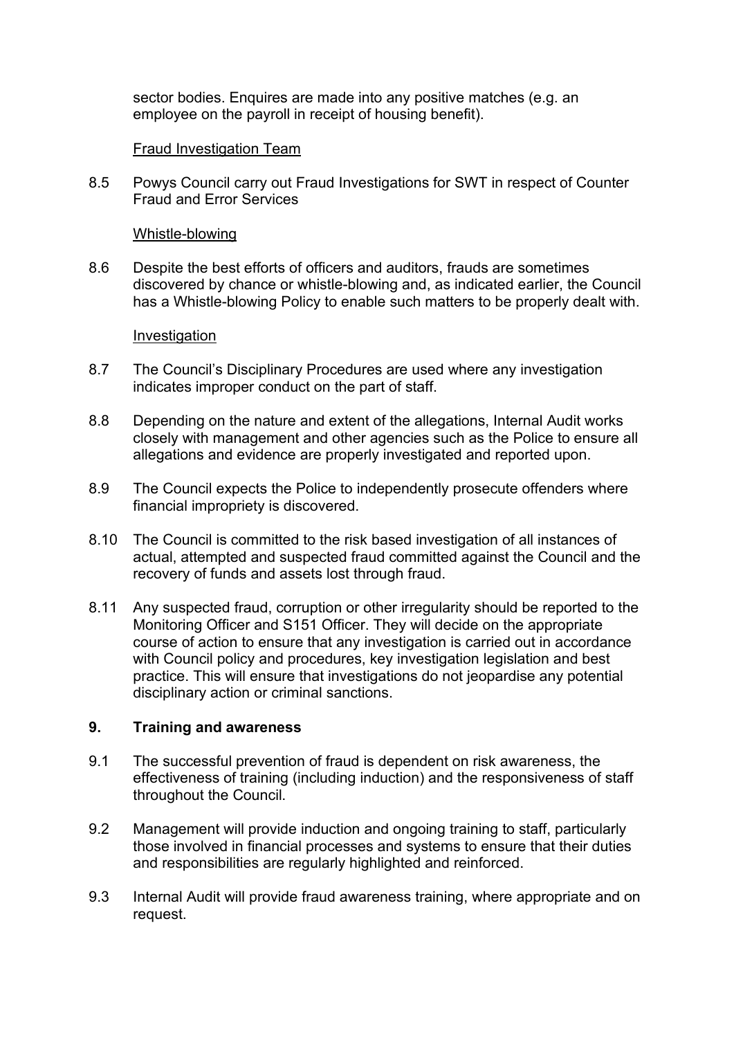sector bodies. Enquires are made into any positive matches (e.g. an employee on the payroll in receipt of housing benefit).

## Fraud Investigation Team

8.5 Powys Council carry out Fraud Investigations for SWT in respect of Counter Fraud and Error Services

## Whistle-blowing

8.6 Despite the best efforts of officers and auditors, frauds are sometimes discovered by chance or whistle-blowing and, as indicated earlier, the Council has a Whistle-blowing Policy to enable such matters to be properly dealt with.

## Investigation

- 8.7 The Council's Disciplinary Procedures are used where any investigation indicates improper conduct on the part of staff.
- 8.8 Depending on the nature and extent of the allegations, Internal Audit works closely with management and other agencies such as the Police to ensure all allegations and evidence are properly investigated and reported upon.
- 8.9 The Council expects the Police to independently prosecute offenders where financial impropriety is discovered.
- 8.10 The Council is committed to the risk based investigation of all instances of actual, attempted and suspected fraud committed against the Council and the recovery of funds and assets lost through fraud.
- 8.11 Any suspected fraud, corruption or other irregularity should be reported to the Monitoring Officer and S151 Officer. They will decide on the appropriate course of action to ensure that any investigation is carried out in accordance with Council policy and procedures, key investigation legislation and best practice. This will ensure that investigations do not jeopardise any potential disciplinary action or criminal sanctions.

## **9. Training and awareness**

- 9.1 The successful prevention of fraud is dependent on risk awareness, the effectiveness of training (including induction) and the responsiveness of staff throughout the Council.
- 9.2 Management will provide induction and ongoing training to staff, particularly those involved in financial processes and systems to ensure that their duties and responsibilities are regularly highlighted and reinforced.
- 9.3 Internal Audit will provide fraud awareness training, where appropriate and on request.